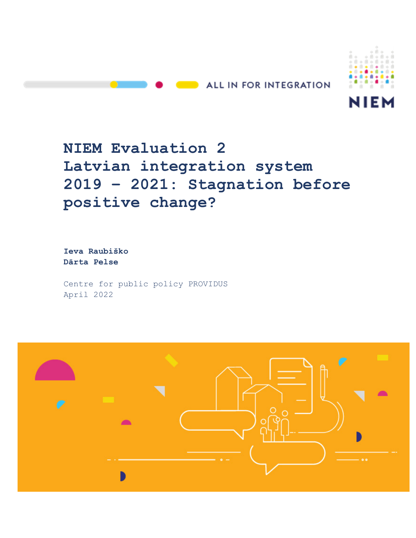



# **NIEM Evaluation 2 Latvian integration system 2019 – 2021: Stagnation before positive change?**

**Ieva Raubiško Dārta Pelse** 

Centre for public policy PROVIDUS April 2022

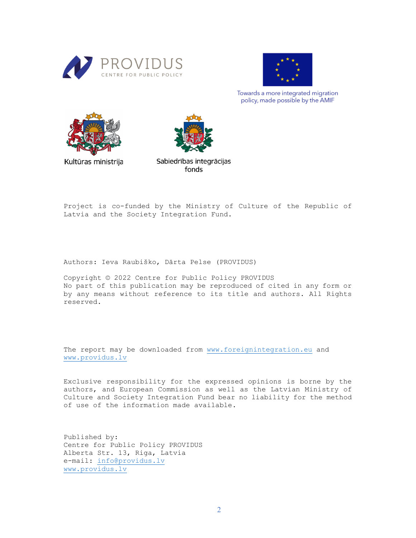



Towards a more integrated migration policy, made possible by the AMIF



Kultūras ministrija

Sabiedrības integrācijas fonds

Project is co-funded by the Ministry of Culture of the Republic of Latvia and the Society Integration Fund.

Authors: Ieva Raubiško, Dārta Pelse (PROVIDUS)

Copyright © 2022 Centre for Public Policy PROVIDUS No part of this publication may be reproduced of cited in any form or by any means without reference to its title and authors. All Rights reserved.

The report may be downloaded from www.foreignintegration.eu and www.providus.lv

Exclusive responsibility for the expressed opinions is borne by the authors, and European Commission as well as the Latvian Ministry of Culture and Society Integration Fund bear no liability for the method of use of the information made available.

Published by: Centre for Public Policy PROVIDUS Alberta Str. 13, Riga, Latvia e-mail: info@providus.lv www.providus.lv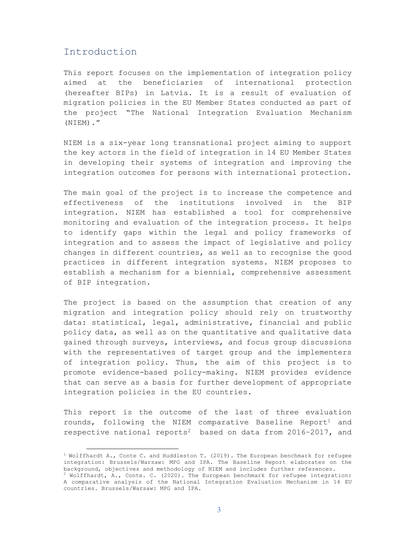### Introduction

 $\overline{a}$ 

This report focuses on the implementation of integration policy aimed at the beneficiaries of international protection (hereafter BIPs) in Latvia. It is a result of evaluation of migration policies in the EU Member States conducted as part of the project "The National Integration Evaluation Mechanism (NIEM)."

NIEM is a six-year long transnational project aiming to support the key actors in the field of integration in 14 EU Member States in developing their systems of integration and improving the integration outcomes for persons with international protection.

The main goal of the project is to increase the competence and effectiveness of the institutions involved in the BIP integration. NIEM has established a tool for comprehensive monitoring and evaluation of the integration process. It helps to identify gaps within the legal and policy frameworks of integration and to assess the impact of legislative and policy changes in different countries, as well as to recognise the good practices in different integration systems. NIEM proposes to establish a mechanism for a biennial, comprehensive assessment of BIP integration.

The project is based on the assumption that creation of any migration and integration policy should rely on trustworthy data: statistical, legal, administrative, financial and public policy data, as well as on the quantitative and qualitative data gained through surveys, interviews, and focus group discussions with the representatives of target group and the implementers of integration policy. Thus, the aim of this project is to promote evidence-based policy-making. NIEM provides evidence that can serve as a basis for further development of appropriate integration policies in the EU countries.

This report is the outcome of the last of three evaluation rounds, following the NIEM comparative Baseline Report<sup>1</sup> and respective national reports<sup>2</sup> based on data from 2016–2017, and

 $1$  Wolffhardt A., Conte C. and Huddleston T. (2019). The European benchmark for refugee integration: Brussels/Warsaw: MPG and IPA. The Baseline Report elaborates on the background, objectives and methodology of NIEM and includes further references.

 $2$  Wolffhardt, A., Conte. C. (2020). The European benchmark for refugee integration: A comparative analysis of the National Integration Evaluation Mechanism in 14 EU countries. Brussels/Warsaw: MPG and IPA.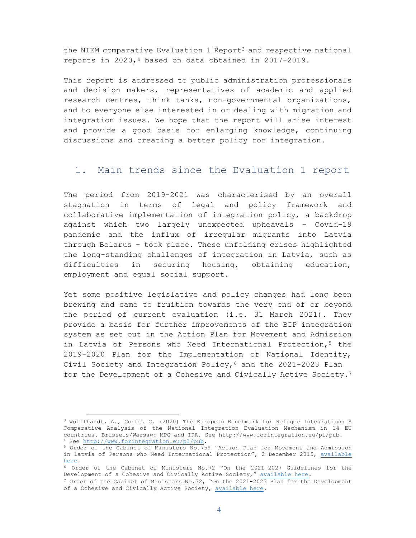the NIEM comparative Evaluation 1 Report<sup>3</sup> and respective national reports in 2020,4 based on data obtained in 2017–2019.

This report is addressed to public administration professionals and decision makers, representatives of academic and applied research centres, think tanks, non-governmental organizations, and to everyone else interested in or dealing with migration and integration issues. We hope that the report will arise interest and provide a good basis for enlarging knowledge, continuing discussions and creating a better policy for integration.

### 1. Main trends since the Evaluation 1 report

The period from 2019–2021 was characterised by an overall stagnation in terms of legal and policy framework and collaborative implementation of integration policy, a backdrop against which two largely unexpected upheavals – Covid-19 pandemic and the influx of irregular migrants into Latvia through Belarus – took place. These unfolding crises highlighted the long-standing challenges of integration in Latvia, such as difficulties in securing housing, obtaining education, employment and equal social support.

Yet some positive legislative and policy changes had long been brewing and came to fruition towards the very end of or beyond the period of current evaluation (i.e. 31 March 2021). They provide a basis for further improvements of the BIP integration system as set out in the Action Plan for Movement and Admission in Latvia of Persons who Need International Protection,<sup>5</sup> the 2019–2020 Plan for the Implementation of National Identity, Civil Society and Integration Policy,  $6$  and the 2021-2023 Plan for the Development of a Cohesive and Civically Active Society.<sup>7</sup>

<sup>3</sup> Wolffhardt, A., Conte. C. (2020) The European Benchmark for Refugee Integration: A Comparative Analysis of the National Integration Evaluation Mechanism in 14 EU countries. Brussels/Warsaw: MPG and IPA. See http://www.forintegration.eu/pl/pub. <sup>4</sup> See http://www.forintegration.eu/pl/pub.

<sup>5</sup> Order of the Cabinet of Ministers No.759 "Action Plan for Movement and Admission in Latvia of Persons who Need International Protection", 2 December 2015, available here.

<sup>6</sup> Order of the Cabinet of Ministers No.72 "On the 2021-2027 Guidelines for the Development of a Cohesive and Civically Active Society," available here.

<sup>7</sup> Order of the Cabinet of Ministers No.32, "On the 2021-2023 Plan for the Development of a Cohesive and Civically Active Society, available here.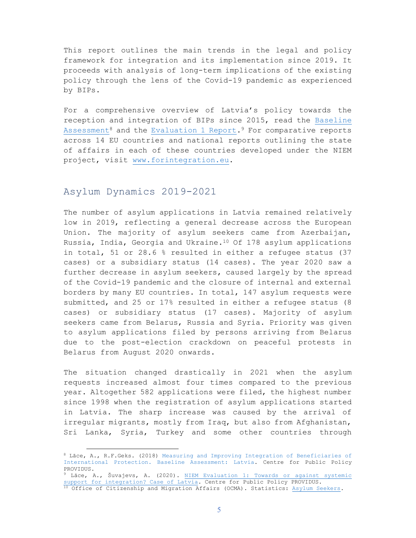This report outlines the main trends in the legal and policy framework for integration and its implementation since 2019. It proceeds with analysis of long-term implications of the existing policy through the lens of the Covid-19 pandemic as experienced by BIPs.

For a comprehensive overview of Latvia's policy towards the reception and integration of BIPs since 2015, read the Baseline Assessment8 and the Evaluation 1 Report.9 For comparative reports across 14 EU countries and national reports outlining the state of affairs in each of these countries developed under the NIEM project, visit www.forintegration.eu.

### Asylum Dynamics 2019-2021

 $\overline{a}$ 

The number of asylum applications in Latvia remained relatively low in 2019, reflecting a general decrease across the European Union. The majority of asylum seekers came from Azerbaijan, Russia, India, Georgia and Ukraine. $10$  Of 178 asylum applications in total, 51 or 28.6 % resulted in either a refugee status (37 cases) or a subsidiary status (14 cases). The year 2020 saw a further decrease in asylum seekers, caused largely by the spread of the Covid-19 pandemic and the closure of internal and external borders by many EU countries. In total, 147 asylum requests were submitted, and 25 or 17% resulted in either a refugee status (8 cases) or subsidiary status (17 cases). Majority of asylum seekers came from Belarus, Russia and Syria. Priority was given to asylum applications filed by persons arriving from Belarus due to the post-election crackdown on peaceful protests in Belarus from August 2020 onwards.

The situation changed drastically in 2021 when the asylum requests increased almost four times compared to the previous year. Altogether 582 applications were filed, the highest number since 1998 when the registration of asylum applications started in Latvia. The sharp increase was caused by the arrival of irregular migrants, mostly from Iraq, but also from Afghanistan, Sri Lanka, Syria, Turkey and some other countries through

<sup>9</sup> Lāce, A., Šuvajevs, A. (2020). NIEM Evaluation 1: Towards or against systemic support for integration? Case of Latvia. Centre for Public Policy PROVIDUS.  $^{10}$  Office of Citizenship and Migration Affairs (OCMA). Statistics: Asylum Seekers.

<sup>8</sup> Lāce, A., R.F.Geks. (2018) Measuring and Improving Integration of Beneficiaries of International Protection. Baseline Assessment: Latvia. Centre for Public Policy PROVIDUS.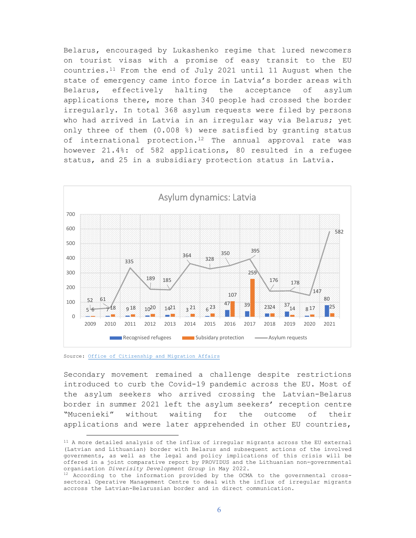Belarus, encouraged by Lukashenko regime that lured newcomers on tourist visas with a promise of easy transit to the EU countries. $11$  From the end of July 2021 until 11 August when the state of emergency came into force in Latvia's border areas with Belarus, effectively halting the acceptance of asylum applications there, more than 340 people had crossed the border irregularly. In total 368 asylum requests were filed by persons who had arrived in Latvia in an irregular way via Belarus; yet only three of them (0.008 %) were satisfied by granting status of international protection.<sup>12</sup> The annual approval rate was however 21.4%: of 582 applications, 80 resulted in a refugee status, and 25 in a subsidiary protection status in Latvia.



Source: Office of Citizenship and Migration Affairs

 $\overline{a}$ 

Secondary movement remained a challenge despite restrictions introduced to curb the Covid-19 pandemic across the EU. Most of the asylum seekers who arrived crossing the Latvian-Belarus border in summer 2021 left the asylum seekers' reception centre "Mucenieki" without waiting for the outcome of their applications and were later apprehended in other EU countries,

<sup>&</sup>lt;sup>11</sup> A more detailed analysis of the influx of irregular migrants across the EU external (Latvian and Lithuanian) border with Belarus and subsequent actions of the involved governments, as well as the legal and policy implications of this crisis will be offered in a joint comparative report by PROVIDUS and the Lithuanian non-governmental organisation *Diverisity Development Group* in May 2022.

 $12$  According to the information provided by the OCMA to the governmental crosssectoral Operative Management Centre to deal with the influx of irregular migrants accross the Latvian-Belarussian border and in direct communication.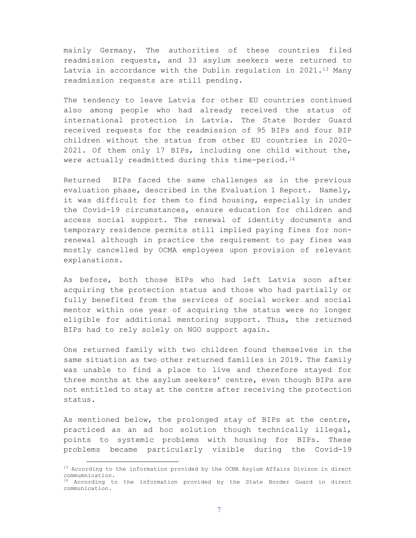mainly Germany. The authorities of these countries filed readmission requests, and 33 asylum seekers were returned to Latvia in accordance with the Dublin regulation in  $2021.^{13}$  Many readmission requests are still pending.

The tendency to leave Latvia for other EU countries continued also among people who had already received the status of international protection in Latvia. The State Border Guard received requests for the readmission of 95 BIPs and four BIP children without the status from other EU countries in 2020- 2021. Of them only 17 BIPs, including one child without the, were actually readmitted during this time-period.<sup>14</sup>

Returned BIPs faced the same challenges as in the previous evaluation phase, described in the Evaluation 1 Report. Namely, it was difficult for them to find housing, especially in under the Covid-19 circumstances, ensure education for children and access social support. The renewal of identity documents and temporary residence permits still implied paying fines for nonrenewal although in practice the requirement to pay fines was mostly cancelled by OCMA employees upon provision of relevant explanations.

As before, both those BIPs who had left Latvia soon after acquiring the protection status and those who had partially or fully benefited from the services of social worker and social mentor within one year of acquiring the status were no longer eligible for additional mentoring support. Thus, the returned BIPs had to rely solely on NGO support again.

One returned family with two children found themselves in the same situation as two other returned families in 2019. The family was unable to find a place to live and therefore stayed for three months at the asylum seekers' centre, even though BIPs are not entitled to stay at the centre after receiving the protection status.

As mentioned below, the prolonged stay of BIPs at the centre, practiced as an ad hoc solution though technically illegal, points to systemic problems with housing for BIPs. These problems became particularly visible during the Covid-19

<sup>&</sup>lt;sup>13</sup> According to the information provided by the OCMA Asylum Affairs Divison in direct commumnication.

<sup>14</sup> According to the information provided by the State Border Guard in direct communication.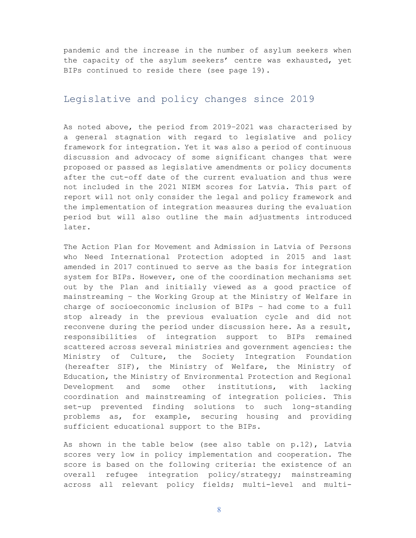pandemic and the increase in the number of asylum seekers when the capacity of the asylum seekers' centre was exhausted, yet BIPs continued to reside there (see page 19).

### Legislative and policy changes since 2019

As noted above, the period from 2019–2021 was characterised by a general stagnation with regard to legislative and policy framework for integration*.* Yet it was also a period of continuous discussion and advocacy of some significant changes that were proposed or passed as legislative amendments or policy documents after the cut-off date of the current evaluation and thus were not included in the 2021 NIEM scores for Latvia. This part of report will not only consider the legal and policy framework and the implementation of integration measures during the evaluation period but will also outline the main adjustments introduced later.

The Action Plan for Movement and Admission in Latvia of Persons who Need International Protection adopted in 2015 and last amended in 2017 continued to serve as the basis for integration system for BIPs. However, one of the coordination mechanisms set out by the Plan and initially viewed as a good practice of mainstreaming – the Working Group at the Ministry of Welfare in charge of socioeconomic inclusion of BIPs – had come to a full stop already in the previous evaluation cycle and did not reconvene during the period under discussion here. As a result, responsibilities of integration support to BIPs remained scattered across several ministries and government agencies: the Ministry of Culture, the Society Integration Foundation (hereafter SIF), the Ministry of Welfare, the Ministry of Education, the Ministry of Environmental Protection and Regional Development and some other institutions, with lacking coordination and mainstreaming of integration policies. This set-up prevented finding solutions to such long-standing problems as, for example, securing housing and providing sufficient educational support to the BIPs.

As shown in the table below (see also table on p.12), Latvia scores very low in policy implementation and cooperation. The score is based on the following criteria: the existence of an overall refugee integration policy/strategy; mainstreaming across all relevant policy fields; multi-level and multi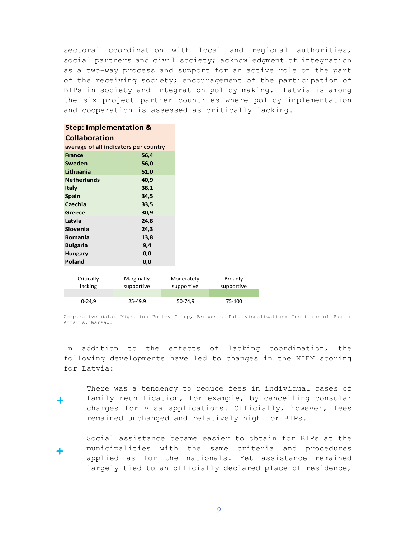sectoral coordination with local and regional authorities, social partners and civil society; acknowledgment of integration as a two-way process and support for an active role on the part of the receiving society; encouragement of the participation of BIPs in society and integration policy making. Latvia is among the six project partner countries where policy implementation and cooperation is assessed as critically lacking.

#### **Step: Implementation &**

#### **Collaboration**

| average of all indicators per country |      |  |
|---------------------------------------|------|--|
| France                                | 56,4 |  |
| Sweden                                | 56,0 |  |
| Lithuania                             | 51,0 |  |
| <b>Netherlands</b>                    | 40,9 |  |
| <b>Italy</b>                          | 38,1 |  |
| <b>Spain</b>                          | 34,5 |  |
| Czechia                               | 33,5 |  |
| Greece                                | 30,9 |  |
| Latvia                                | 24,8 |  |
| Slovenia                              | 24,3 |  |
| Romania                               | 13,8 |  |
| <b>Bulgaria</b>                       | 9,4  |  |
| <b>Hungary</b>                        | 0,0  |  |
| Poland                                | 0,0  |  |
|                                       |      |  |

| Critically | Marginally | Moderately | Broadly    |
|------------|------------|------------|------------|
| lacking    | supportive | supportive | supportive |
|            |            |            |            |
| $0 - 24.9$ | 25-49,9    | 50-74.9    | 75-100     |

Comparative data: Migration Policy Group, Brussels. Data visualization: Institute of Public Affairs, Warsaw.

In addition to the effects of lacking coordination, the following developments have led to changes in the NIEM scoring for Latvia:

**+**

There was a tendency to reduce fees in individual cases of family reunification, for example, by cancelling consular charges for visa applications. Officially, however, fees remained unchanged and relatively high for BIPs.

 Social assistance became easier to obtain for BIPs at the municipalities with the same criteria and procedures applied as for the nationals. Yet assistance remained largely tied to an officially declared place of residence, **+**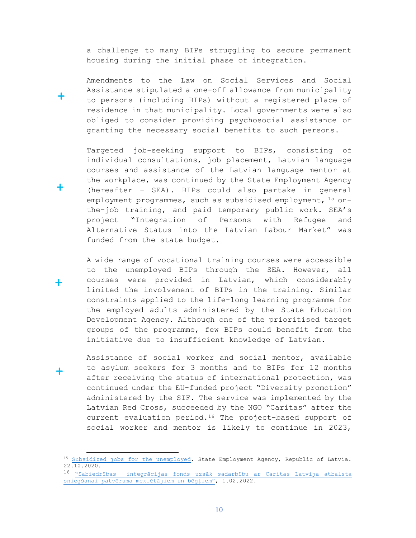a challenge to many BIPs struggling to secure permanent housing during the initial phase of integration.

 Amendments to the Law on Social Services and Social Assistance stipulated a one-off allowance from municipality to persons (including BIPs) without a registered place of residence in that municipality. Local governments were also obliged to consider providing psychosocial assistance or granting the necessary social benefits to such persons.

 Targeted job-seeking support to BIPs, consisting of individual consultations, job placement, Latvian language courses and assistance of the Latvian language mentor at the workplace, was continued by the State Employment Agency (hereafter – SEA). BIPs could also partake in general employment programmes, such as subsidised employment, 15 onthe-job training, and paid temporary public work. SEA's project "Integration of Persons with Refugee and Alternative Status into the Latvian Labour Market" was funded from the state budget.

 A wide range of vocational training courses were accessible to the unemployed BIPs through the SEA. However, all courses were provided in Latvian, which considerably limited the involvement of BIPs in the training. Similar constraints applied to the life-long learning programme for the employed adults administered by the State Education Development Agency. Although one of the prioritised target groups of the programme, few BIPs could benefit from the initiative due to insufficient knowledge of Latvian.

Assistance of social worker and social mentor, available to asylum seekers for 3 months and to BIPs for 12 months after receiving the status of international protection, was continued under the EU-funded project "Diversity promotion" administered by the SIF. The service was implemented by the Latvian Red Cross, succeeded by the NGO "Caritas" after the current evaluation period.16 The project-based support of social worker and mentor is likely to continue in 2023,

 $\overline{a}$ 

**+**

**+**

**+**

**+**

<sup>&</sup>lt;sup>15</sup> Subsidized jobs for the unemployed. State Employment Agency, Republic of Latvia. 22.10.2020.

<sup>16</sup> "Sabiedrības integrācijas fonds uzsāk sadarbību ar Caritas Latvija atbalsta sniegšanai patvēruma meklētājiem un bēgļiem", 1.02.2022.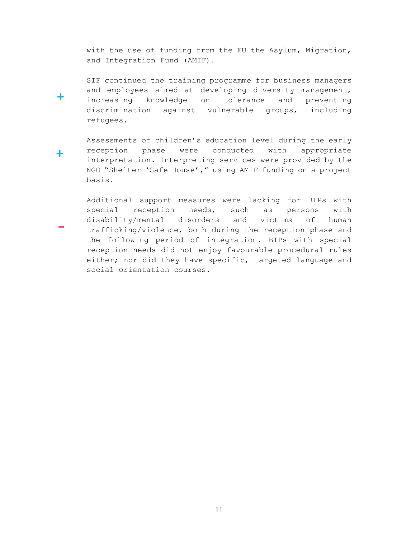with the use of funding from the EU the Asylum, Migration, and Integration Fund (AMIF).

SIF continued the training programme for business managers and employees aimed at developing diversity management, increasing knowledge on tolerance and preventing discrimination against vulnerable groups, including refugees.

**+**

**-**

 Assessments of children's education level during the early reception phase were conducted with appropriate interpretation. Interpreting services were provided by the NGO "Shelter 'Safe House'," using AMIF funding on a project basis. **+**

 Additional support measures were lacking for BIPs with special reception needs, such as persons with disability/mental disorders and victims of human trafficking/violence, both during the reception phase and the following period of integration. BIPs with special reception needs did not enjoy favourable procedural rules either; nor did they have specific, targeted language and social orientation courses.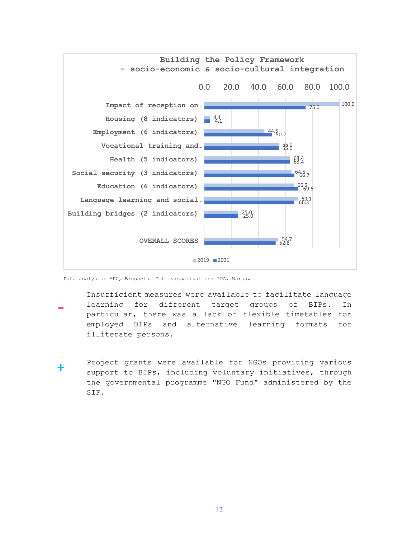

Data analysis: MPG, Brussels. Data visualization: IPA, Warsaw.

- Insufficient measures were available to facilitate language learning for different target groups of BIPs. In particular, there was a lack of flexible timetables for employed BIPs and alternative learning formats for illiterate persons. **-**
- Project grants were available for NGOs providing various support to BIPs, including voluntary initiatives, through the governmental programme "NGO Fund" administered by the SIF. **+**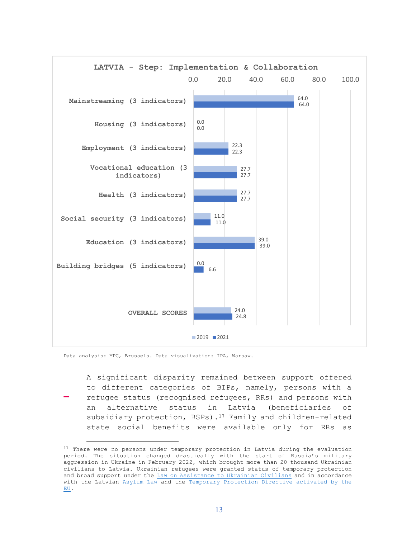

Data analysis: MPG, Brussels. Data visualization: IPA, Warsaw.

 $\overline{a}$ 

A significant disparity remained between support offered to different categories of BIPs, namely, persons with a refugee status (recognised refugees, RRs) and persons with an alternative status in Latvia (beneficiaries of subsidiary protection, BSPs).<sup>17</sup> Family and children-related state social benefits were available only for RRs as **-**

<sup>&</sup>lt;sup>17</sup> There were no persons under temporary protection in Latvia during the evaluation period. The situation changed drastically with the start of Russia's military aggression in Ukraine in February 2022, which brought more than 20 thousand Ukrainian civilians to Latvia. Ukrainian refugees were granted status of temporary protection and broad support under the Law on Assistance to Ukrainian Civilians and in accordance with the Latvian Asylum Law and the Temporary Protection Directive activated by the EU.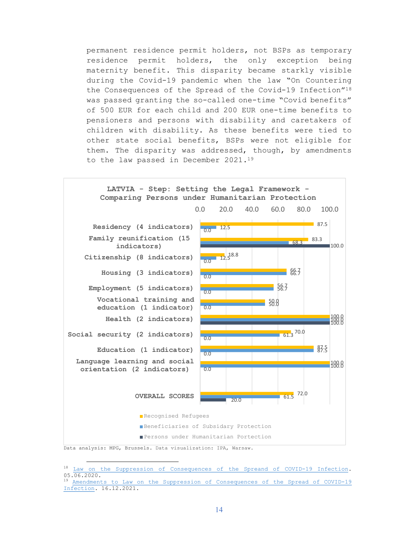permanent residence permit holders, not BSPs as temporary residence permit holders, the only exception being maternity benefit. This disparity became starkly visible during the Covid-19 pandemic when the law "On Countering the Consequences of the Spread of the Covid-19 Infection"<sup>18</sup> was passed granting the so-called one-time "Covid benefits" of 500 EUR for each child and 200 EUR one-time benefits to pensioners and persons with disability and caretakers of children with disability. As these benefits were tied to other state social benefits, BSPs were not eligible for them. The disparity was addressed, though, by amendments to the law passed in December 2021.<sup>19</sup>



Data analysis: MPG, Brussels. Data visualization: IPA, Warsaw.

<sup>18</sup> Law on the Suppression of Consequences of the Spreand of COVID-19 Infection. 05.06.2020.

<sup>19</sup> Amendments to Law on the Suppression of Consequences of the Spread of COVID-19 Infection. 16.12.2021.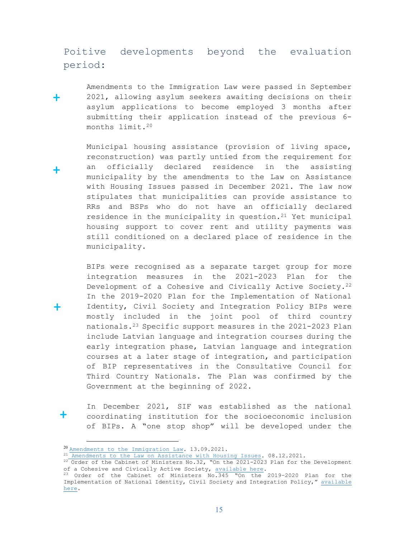### Poitive developments beyond the evaluation period:

 Amendments to the Immigration Law were passed in September 2021, allowing asylum seekers awaiting decisions on their asylum applications to become employed 3 months after submitting their application instead of the previous 6 months limit.<sup>20</sup> **+**

 Municipal housing assistance (provision of living space, reconstruction) was partly untied from the requirement for an officially declared residence in the assisting municipality by the amendments to the Law on Assistance with Housing Issues passed in December 2021. The law now stipulates that municipalities can provide assistance to RRs and BSPs who do not have an officially declared residence in the municipality in question.<sup>21</sup> Yet municipal housing support to cover rent and utility payments was still conditioned on a declared place of residence in the municipality.

 BIPs were recognised as a separate target group for more integration measures in the 2021-2023 Plan for the Development of a Cohesive and Civically Active Society.<sup>22</sup> In the 2019-2020 Plan for the Implementation of National Identity, Civil Society and Integration Policy BIPs were mostly included in the joint pool of third country nationals.<sup>23</sup> Specific support measures in the 2021-2023 Plan include Latvian language and integration courses during the early integration phase, Latvian language and integration courses at a later stage of integration, and participation of BIP representatives in the Consultative Council for Third Country Nationals. The Plan was confirmed by the Government at the beginning of 2022.

 In December 2021, SIF was established as the national coordinating institution for the socioeconomic inclusion of BIPs. A "one stop shop" will be developed under the

 $\overline{a}$ 

**+**

**+**

**+**

<sup>&</sup>lt;sup>20</sup> Amendments to the Immigration Law. 13.09.2021.

 $^{21}$  Amendments to the Law on Assistance with Housing Issues. 08.12.2021.

 $^{22}$  Order of the Cabinet of Ministers No.32, "On the 2021-2023 Plan for the Development of a Cohesive and Civically Active Society, available here.

<sup>23</sup> Order of the Cabinet of Ministers No.345 "On the 2019–2020 Plan for the Implementation of National Identity, Civil Society and Integration Policy," available here.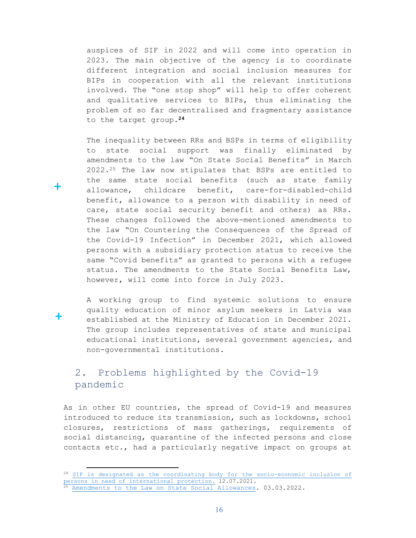auspices of SIF in 2022 and will come into operation in 2023. The main objective of the agency is to coordinate different integration and social inclusion measures for BIPs in cooperation with all the relevant institutions involved. The "one stop shop" will help to offer coherent and qualitative services to BIPs, thus eliminating the problem of so far decentralised and fragmentary assistance to the target group.**<sup>24</sup>**

 The inequality between RRs and BSPs in terms of eligibility to state social support was finally eliminated by amendments to the law "On State Social Benefits" in March 2022.25 The law now stipulates that BSPs are entitled to the same state social benefits (such as state family allowance, childcare benefit, care-for-disabled-child benefit, allowance to a person with disability in need of care, state social security benefit and others) as RRs. These changes followed the above-mentioned amendments to the law "On Countering the Consequences of the Spread of the Covid-19 Infection" in December 2021, which allowed persons with a subsidiary protection status to receive the same "Covid benefits" as granted to persons with a refugee status. The amendments to the State Social Benefits Law, however, will come into force in July 2023.

 A working group to find systemic solutions to ensure quality education of minor asylum seekers in Latvia was established at the Ministry of Education in December 2021. The group includes representatives of state and municipal educational institutions, several government agencies, and non-governmental institutions.

### 2. Problems highlighted by the Covid-19 pandemic

As in other EU countries, the spread of Covid-19 and measures introduced to reduce its transmission, such as lockdowns, school closures, restrictions of mass gatherings, requirements of social distancing, quarantine of the infected persons and close contacts etc., had a particularly negative impact on groups at

 $\overline{a}$ 

**+**

**+**

<sup>&</sup>lt;sup>24</sup> SIF is designated as the coordinating body for the socio-economic inclusion of persons in need of international protection. 12.07.2021.

<sup>25</sup> Amendments to the Law on State Social Allowances. 03.03.2022.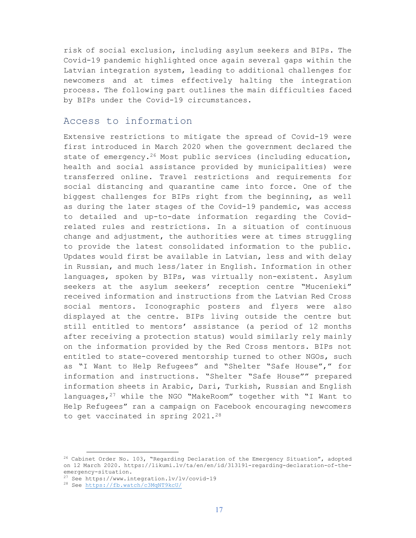risk of social exclusion, including asylum seekers and BIPs. The Covid-19 pandemic highlighted once again several gaps within the Latvian integration system, leading to additional challenges for newcomers and at times effectively halting the integration process. The following part outlines the main difficulties faced by BIPs under the Covid-19 circumstances.

### Access to information

Extensive restrictions to mitigate the spread of Covid-19 were first introduced in March 2020 when the government declared the state of emergency.<sup>26</sup> Most public services (including education, health and social assistance provided by municipalities) were transferred online. Travel restrictions and requirements for social distancing and quarantine came into force. One of the biggest challenges for BIPs right from the beginning, as well as during the later stages of the Covid-19 pandemic, was access to detailed and up-to-date information regarding the Covidrelated rules and restrictions. In a situation of continuous change and adjustment, the authorities were at times struggling to provide the latest consolidated information to the public. Updates would first be available in Latvian, less and with delay in Russian, and much less/later in English. Information in other languages, spoken by BIPs, was virtually non-existent. Asylum seekers at the asylum seekers' reception centre "Mucenieki" received information and instructions from the Latvian Red Cross social mentors. Iconographic posters and flyers were also displayed at the centre. BIPs living outside the centre but still entitled to mentors' assistance (a period of 12 months after receiving a protection status) would similarly rely mainly on the information provided by the Red Cross mentors. BIPs not entitled to state-covered mentorship turned to other NGOs, such as "I Want to Help Refugees" and "Shelter "Safe House"," for information and instructions. "Shelter "Safe House"" prepared information sheets in Arabic, Dari, Turkish, Russian and English languages,  $27$  while the NGO "MakeRoom" together with "I Want to Help Refugees" ran a campaign on Facebook encouraging newcomers to get vaccinated in spring 2021.<sup>28</sup>

 $26$  Cabinet Order No. 103, "Regarding Declaration of the Emergency Situation", adopted on 12 March 2020. https://likumi.lv/ta/en/en/id/313191-regarding-declaration-of-theemergency-situation.

<sup>27</sup> See https://www.integration.lv/lv/covid-19

<sup>28</sup> See https://fb.watch/c3MqNT9kcU/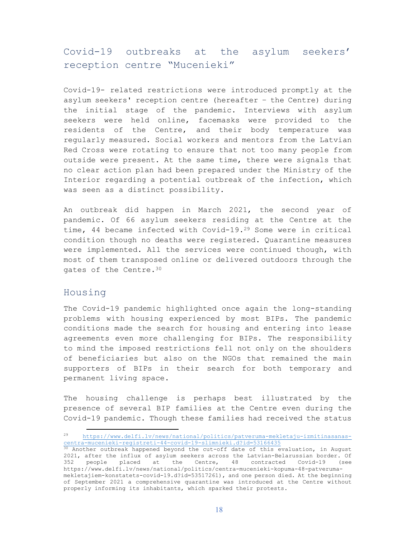### Covid-19 outbreaks at the asylum seekers' reception centre "Mucenieki"

Covid-19- related restrictions were introduced promptly at the asylum seekers' reception centre (hereafter – the Centre) during the initial stage of the pandemic. Interviews with asylum seekers were held online, facemasks were provided to the residents of the Centre, and their body temperature was regularly measured. Social workers and mentors from the Latvian Red Cross were rotating to ensure that not too many people from outside were present. At the same time, there were signals that no clear action plan had been prepared under the Ministry of the Interior regarding a potential outbreak of the infection, which was seen as a distinct possibility.

An outbreak did happen in March 2021, the second year of pandemic. Of 66 asylum seekers residing at the Centre at the time, 44 became infected with Covid-19.<sup>29</sup> Some were in critical condition though no deaths were registered. Quarantine measures were implemented. All the services were continued though, with most of them transposed online or delivered outdoors through the gates of the Centre.<sup>30</sup>

#### Housing

 $\overline{a}$ 

The Covid-19 pandemic highlighted once again the long-standing problems with housing experienced by most BIPs. The pandemic conditions made the search for housing and entering into lease agreements even more challenging for BIPs. The responsibility to mind the imposed restrictions fell not only on the shoulders of beneficiaries but also on the NGOs that remained the main supporters of BIPs in their search for both temporary and permanent living space.

The housing challenge is perhaps best illustrated by the presence of several BIP families at the Centre even during the Covid-19 pandemic. Though these families had received the status

<sup>29</sup> https://www.delfi.lv/news/national/politics/patveruma-mekletaju-izmitinasanascentra-mucenieki-registreti-44-covid-19-slimnieki.d?id=53166435

<sup>30</sup> Another outbreak happened beyond the cut-off date of this evaluation, in August 2021, after the influx of asylum seekers across the Latvian-Belarussian border. Of 352 people placed at the Centre, 48 contracted Covid-19 (see https://www.delfi.lv/news/national/politics/centra-mucenieki-kopuma-48-patverumamekletajiem-konstatets-covid-19.d?id=53517261), and one person died. At the beginning of September 2021 a comprehensive quarantine was introduced at the Centre without properly informing its inhabitants, which sparked their protests.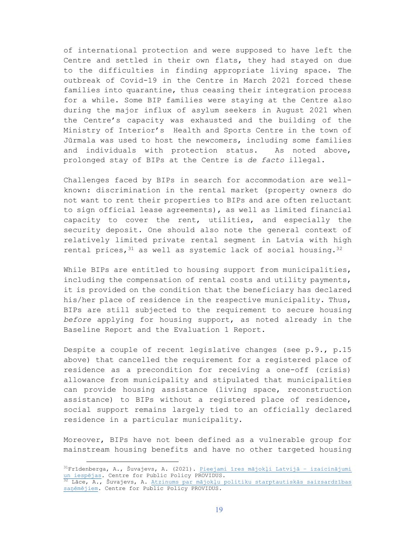of international protection and were supposed to have left the Centre and settled in their own flats, they had stayed on due to the difficulties in finding appropriate living space. The outbreak of Covid-19 in the Centre in March 2021 forced these families into quarantine, thus ceasing their integration process for a while. Some BIP families were staying at the Centre also during the major influx of asylum seekers in August 2021 when the Centre's capacity was exhausted and the building of the Ministry of Interior's Health and Sports Centre in the town of Jūrmala was used to host the newcomers, including some families and individuals with protection status. As noted above, prolonged stay of BIPs at the Centre is *de facto* illegal.

Challenges faced by BIPs in search for accommodation are wellknown: discrimination in the rental market (property owners do not want to rent their properties to BIPs and are often reluctant to sign official lease agreements), as well as limited financial capacity to cover the rent, utilities, and especially the security deposit. One should also note the general context of relatively limited private rental segment in Latvia with high rental prices,  $31$  as well as systemic lack of social housing.  $32$ 

While BIPs are entitled to housing support from municipalities, including the compensation of rental costs and utility payments, it is provided on the condition that the beneficiary has declared his/her place of residence in the respective municipality. Thus, BIPs are still subjected to the requirement to secure housing *before* applying for housing support, as noted already in the Baseline Report and the Evaluation 1 Report.

Despite a couple of recent legislative changes (see p.9., p.15 above) that cancelled the requirement for a registered place of residence as a precondition for receiving a one-off (crisis) allowance from municipality and stipulated that municipalities can provide housing assistance (living space, reconstruction assistance) to BIPs without a registered place of residence, social support remains largely tied to an officially declared residence in a particular municipality.

Moreover, BIPs have not been defined as a vulnerable group for mainstream housing benefits and have no other targeted housing

<sup>31</sup>Frīdenberga, A., Šuvajevs, A. (2021). Pieejami īres mājokļi Latvijā – izaicinājumi un iespējas. Centre for Public Policy PROVIDUS*.*

 $32$  Lāce, A., Šuvajevs, A. Atzinums par mājokļu politiku starptautiskās saizsardzības saņēmējiem. Centre for Public Policy PROVIDUS*.*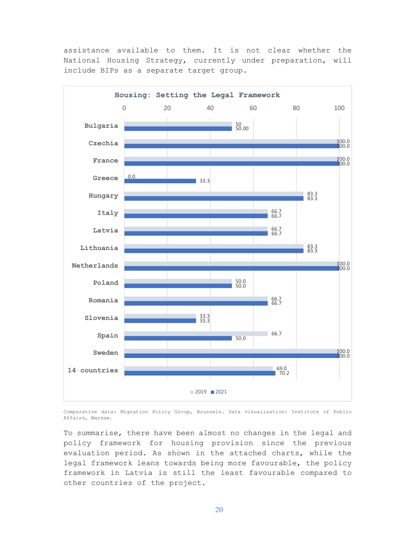assistance available to them. It is not clear whether the National Housing Strategy, currently under preparation, will include BIPs as a separate target group.



Comparative data: Migration Policy Group, Brussels. Data visualization: Institute of Public Affairs, Warsaw.

To summarise, there have been almost no changes in the legal and policy framework for housing provision since the previous evaluation period. As shown in the attached charts, while the legal framework leans towards being more favourable, the policy framework in Latvia is still the least favourable compared to other countries of the project.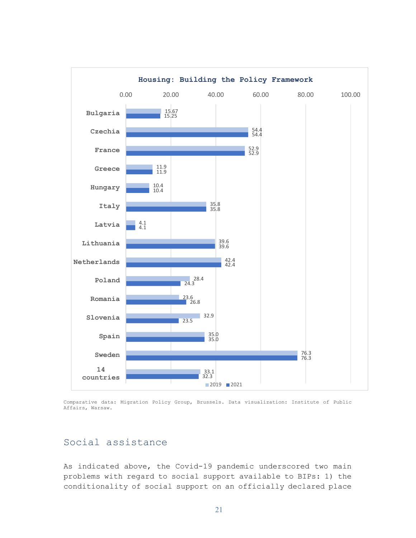

Comparative data: Migration Policy Group, Brussels. Data visualization: Institute of Public Affairs, Warsaw.

### Social assistance

As indicated above, the Covid-19 pandemic underscored two main problems with regard to social support available to BIPs: 1) the conditionality of social support on an officially declared place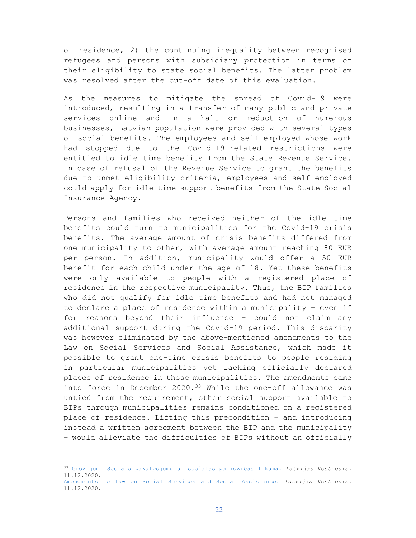of residence, 2) the continuing inequality between recognised refugees and persons with subsidiary protection in terms of their eligibility to state social benefits. The latter problem was resolved after the cut-off date of this evaluation.

As the measures to mitigate the spread of Covid-19 were introduced, resulting in a transfer of many public and private services online and in a halt or reduction of numerous businesses, Latvian population were provided with several types of social benefits. The employees and self-employed whose work had stopped due to the Covid-19-related restrictions were entitled to idle time benefits from the State Revenue Service. In case of refusal of the Revenue Service to grant the benefits due to unmet eligibility criteria, employees and self-employed could apply for idle time support benefits from the State Social Insurance Agency.

Persons and families who received neither of the idle time benefits could turn to municipalities for the Covid-19 crisis benefits. The average amount of crisis benefits differed from one municipality to other, with average amount reaching 80 EUR per person. In addition, municipality would offer a 50 EUR benefit for each child under the age of 18. Yet these benefits were only available to people with a registered place of residence in the respective municipality. Thus, the BIP families who did not qualify for idle time benefits and had not managed to declare a place of residence within a municipality – even if for reasons beyond their influence – could not claim any additional support during the Covid-19 period. This disparity was however eliminated by the above-mentioned amendments to the Law on Social Services and Social Assistance, which made it possible to grant one-time crisis benefits to people residing in particular municipalities yet lacking officially declared places of residence in those municipalities. The amendments came into force in December  $2020.^{33}$  While the one-off allowance was untied from the requirement, other social support available to BIPs through municipalities remains conditioned on a registered place of residence. Lifting this precondition – and introducing instead a written agreement between the BIP and the municipality – would alleviate the difficulties of BIPs without an officially

<sup>33</sup> Grozījumi Sociālo pakalpojumu un sociālās palīdzības likumā. *Latvijas Vēstnesis.*  11.12.2020.

Amendments to Law on Social Services and Social Assistance. *Latvijas Vēstnesis.*  11.12.2020.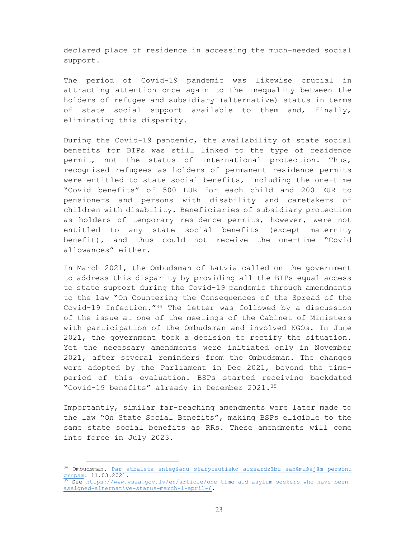declared place of residence in accessing the much-needed social support.

The period of Covid-19 pandemic was likewise crucial in attracting attention once again to the inequality between the holders of refugee and subsidiary (alternative) status in terms of state social support available to them and, finally, eliminating this disparity.

During the Covid-19 pandemic, the availability of state social benefits for BIPs was still linked to the type of residence permit, not the status of international protection. Thus, recognised refugees as holders of permanent residence permits were entitled to state social benefits, including the one-time "Covid benefits" of 500 EUR for each child and 200 EUR to pensioners and persons with disability and caretakers of children with disability. Beneficiaries of subsidiary protection as holders of temporary residence permits, however, were not entitled to any state social benefits (except maternity benefit), and thus could not receive the one-time "Covid allowances" either.

In March 2021, the Ombudsman of Latvia called on the government to address this disparity by providing all the BIPs equal access to state support during the Covid-19 pandemic through amendments to the law "On Countering the Consequences of the Spread of the Covid-19 Infection."34 The letter was followed by a discussion of the issue at one of the meetings of the Cabinet of Ministers with participation of the Ombudsman and involved NGOs. In June 2021, the government took a decision to rectify the situation. Yet the necessary amendments were initiated only in November 2021, after several reminders from the Ombudsman. The changes were adopted by the Parliament in Dec 2021, beyond the timeperiod of this evaluation. BSPs started receiving backdated "Covid-19 benefits" already in December 2021.<sup>35</sup>

Importantly, similar far-reaching amendments were later made to the law "On State Social Benefits", making BSPs eligible to the same state social benefits as RRs. These amendments will come into force in July 2023.

<sup>34</sup> Ombudsman. Par atbalsta sniegšanu starptautisko aizsardzību saņēmušajām personu grupām. 11.03.2021.

<sup>&</sup>lt;sup>5</sup> See https://www.vsaa.gov.lv/en/article/one-time-aid-asylum-seekers-who-have-beenassigned-alternative-status-march-1-april-6.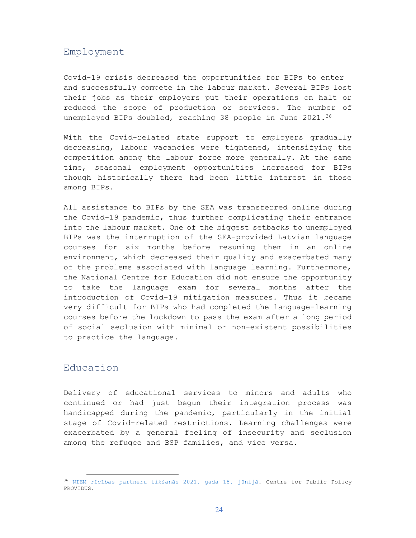#### Employment

Covid-19 crisis decreased the opportunities for BIPs to enter and successfully compete in the labour market. Several BIPs lost their jobs as their employers put their operations on halt or reduced the scope of production or services. The number of unemployed BIPs doubled, reaching 38 people in June 2021.<sup>36</sup>

With the Covid-related state support to employers gradually decreasing, labour vacancies were tightened, intensifying the competition among the labour force more generally. At the same time, seasonal employment opportunities increased for BIPs though historically there had been little interest in those among BIPs.

All assistance to BIPs by the SEA was transferred online during the Covid-19 pandemic, thus further complicating their entrance into the labour market. One of the biggest setbacks to unemployed BIPs was the interruption of the SEA-provided Latvian language courses for six months before resuming them in an online environment, which decreased their quality and exacerbated many of the problems associated with language learning. Furthermore, the National Centre for Education did not ensure the opportunity to take the language exam for several months after the introduction of Covid-19 mitigation measures. Thus it became very difficult for BIPs who had completed the language-learning courses before the lockdown to pass the exam after a long period of social seclusion with minimal or non-existent possibilities to practice the language.

### Education

 $\overline{a}$ 

Delivery of educational services to minors and adults who continued or had just begun their integration process was handicapped during the pandemic, particularly in the initial stage of Covid-related restrictions. Learning challenges were exacerbated by a general feeling of insecurity and seclusion among the refugee and BSP families, and vice versa.

<sup>36</sup> NIEM rīcības partneru tikšanās 2021. gada 18. jūnijā. Centre for Public Policy PROVIDUS.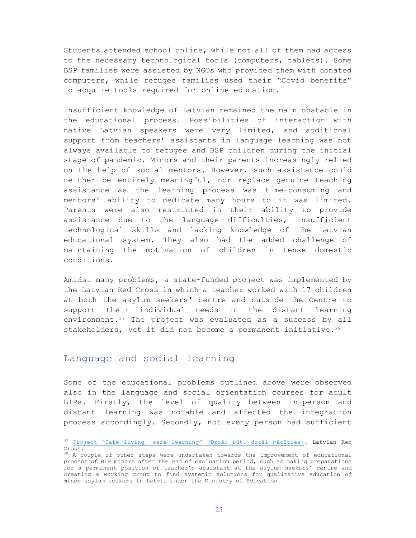Students attended school online, while not all of them had access to the necessary technological tools (computers, tablets). Some BSP families were assisted by NGOs who provided them with donated computers, while refugee families used their "Covid benefits" to acquire tools required for online education.

Insufficient knowledge of Latvian remained the main obstacle in the educational process. Possibilities of interaction with native Latvian speakers were very limited, and additional support from teachers' assistants in language learning was not always available to refugee and BSP children during the initial stage of pandemic. Minors and their parents increasingly relied on the help of social mentors. However, such assistance could neither be entirely meaningful, nor replace genuine teaching assistance as the learning process was time-consuming and mentors' ability to dedicate many hours to it was limited. Parents were also restricted in their ability to provide assistance due to the language difficulties, insufficient technological skills and lacking knowledge of the Latvian educational system. They also had the added challenge of maintaining the motivation of children in tense domestic conditions.

Amidst many problems, a state-funded project was implemented by the Latvian Red Cross in which a teacher worked with 17 children at both the asylum seekers' centre and outside the Centre to support their individual needs in the distant learning environment.<sup>37</sup> The project was evaluated as a success by all stakeholders, yet it did not become a permanent initiative.  $38$ 

### Language and social learning

 $\overline{a}$ 

Some of the educational problems outlined above were observed also in the language and social orientation courses for adult BIPs. Firstly, the level of quality between in-person and distant learning was notable and affected the integration process accordingly. Secondly, not every person had sufficient

<sup>37</sup> Project "Safe living, safe learning" (Droši būt, droši mācīties). Latvian Red Cross.

<sup>&</sup>lt;sup>38</sup> A couple of other steps were undertaken towards the improvement of educational process of BIP minors after the end of evaluation period, such as making preparations for a permanent position of teacher's assistant at the asylum seekers' centre and creating a working group to find systemic solutions for qualitative education of minor asylum seekers in Latvia under the Ministry of Education.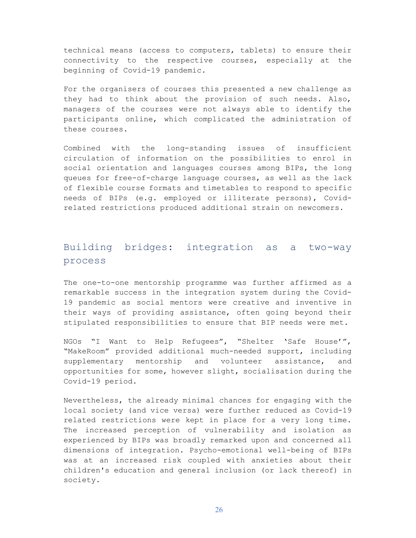technical means (access to computers, tablets) to ensure their connectivity to the respective courses, especially at the beginning of Covid-19 pandemic.

For the organisers of courses this presented a new challenge as they had to think about the provision of such needs. Also, managers of the courses were not always able to identify the participants online, which complicated the administration of these courses.

Combined with the long-standing issues of insufficient circulation of information on the possibilities to enrol in social orientation and languages courses among BIPs, the long queues for free-of-charge language courses, as well as the lack of flexible course formats and timetables to respond to specific needs of BIPs (e.g. employed or illiterate persons), Covidrelated restrictions produced additional strain on newcomers.

### Building bridges: integration as a two-way process

The one-to-one mentorship programme was further affirmed as a remarkable success in the integration system during the Covid-19 pandemic as social mentors were creative and inventive in their ways of providing assistance, often going beyond their stipulated responsibilities to ensure that BIP needs were met.

NGOs "I Want to Help Refugees", "Shelter 'Safe House'", "MakeRoom" provided additional much-needed support, including supplementary mentorship and volunteer assistance, and opportunities for some, however slight, socialisation during the Covid-19 period.

Nevertheless, the already minimal chances for engaging with the local society (and vice versa) were further reduced as Covid-19 related restrictions were kept in place for a very long time. The increased perception of vulnerability and isolation as experienced by BIPs was broadly remarked upon and concerned all dimensions of integration. Psycho-emotional well-being of BIPs was at an increased risk coupled with anxieties about their children's education and general inclusion (or lack thereof) in society.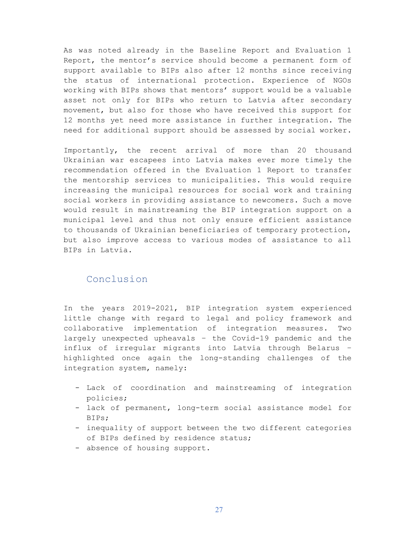As was noted already in the Baseline Report and Evaluation 1 Report, the mentor's service should become a permanent form of support available to BIPs also after 12 months since receiving the status of international protection. Experience of NGOs working with BIPs shows that mentors' support would be a valuable asset not only for BIPs who return to Latvia after secondary movement, but also for those who have received this support for 12 months yet need more assistance in further integration. The need for additional support should be assessed by social worker.

Importantly, the recent arrival of more than 20 thousand Ukrainian war escapees into Latvia makes ever more timely the recommendation offered in the Evaluation 1 Report to transfer the mentorship services to municipalities. This would require increasing the municipal resources for social work and training social workers in providing assistance to newcomers. Such a move would result in mainstreaming the BIP integration support on a municipal level and thus not only ensure efficient assistance to thousands of Ukrainian beneficiaries of temporary protection, but also improve access to various modes of assistance to all BIPs in Latvia.

### Conclusion

In the years 2019-2021, BIP integration system experienced little change with regard to legal and policy framework and collaborative implementation of integration measures. Two largely unexpected upheavals – the Covid-19 pandemic and the influx of irregular migrants into Latvia through Belarus – highlighted once again the long-standing challenges of the integration system, namely:

- Lack of coordination and mainstreaming of integration policies;
- lack of permanent, long-term social assistance model for BIPs;
- inequality of support between the two different categories of BIPs defined by residence status;
- absence of housing support.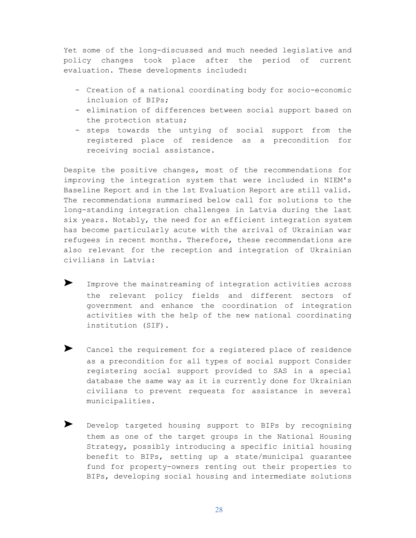Yet some of the long-discussed and much needed legislative and policy changes took place after the period of current evaluation. These developments included:

- Creation of a national coordinating body for socio-economic inclusion of BIPs;
- elimination of differences between social support based on the protection status;
- steps towards the untying of social support from the registered place of residence as a precondition for receiving social assistance.

Despite the positive changes, most of the recommendations for improving the integration system that were included in NIEM's Baseline Report and in the 1st Evaluation Report are still valid. The recommendations summarised below call for solutions to the long-standing integration challenges in Latvia during the last six years. Notably, the need for an efficient integration system has become particularly acute with the arrival of Ukrainian war refugees in recent months. Therefore, these recommendations are also relevant for the reception and integration of Ukrainian civilians in Latvia:

- ➤ Improve the mainstreaming of integration activities across the relevant policy fields and different sectors of government and enhance the coordination of integration activities with the help of the new national coordinating institution (SIF).
- ➤ Cancel the requirement for a registered place of residence as a precondition for all types of social support Consider registering social support provided to SAS in a special database the same way as it is currently done for Ukrainian civilians to prevent requests for assistance in several municipalities.
- Develop targeted housing support to BIPs by recognising them as one of the target groups in the National Housing Strategy, possibly introducing a specific initial housing benefit to BIPs, setting up a state/municipal guarantee fund for property-owners renting out their properties to BIPs, developing social housing and intermediate solutions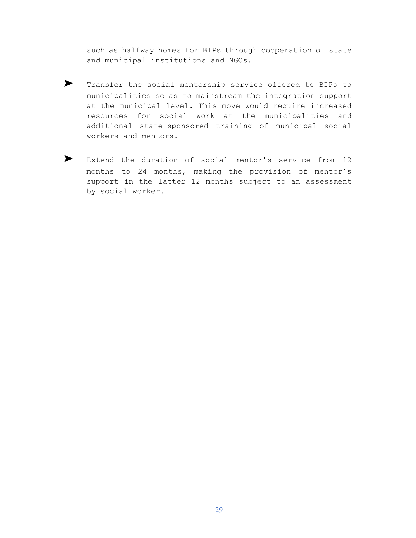such as halfway homes for BIPs through cooperation of state and municipal institutions and NGOs.

- ➤ Transfer the social mentorship service offered to BIPs to municipalities so as to mainstream the integration support at the municipal level. This move would require increased resources for social work at the municipalities and additional state-sponsored training of municipal social workers and mentors.
- ▶ Extend the duration of social mentor's service from 12 months to 24 months, making the provision of mentor's support in the latter 12 months subject to an assessment by social worker.